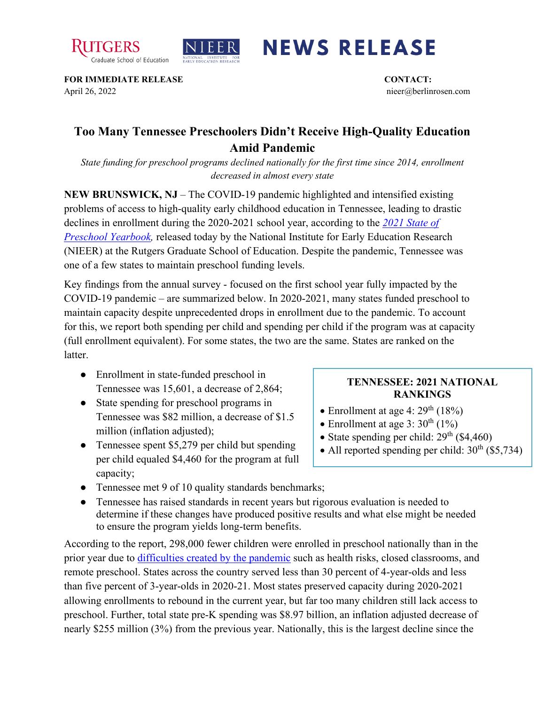



## **NEWS RELEASE**

**FOR IMMEDIATE RELEASE CONTACT:**  April 26, 2022 nieer@berlinrosen.com

## **Too Many Tennessee Preschoolers Didn't Receive High-Quality Education Amid Pandemic**

*State funding for preschool programs declined nationally for the first time since 2014, enrollment decreased in almost every state*

**NEW BRUNSWICK, NJ** – The COVID-19 pandemic highlighted and intensified existing problems of access to high-quality early childhood education in Tennessee, leading to drastic declines in enrollment during the 2020-2021 school year, according to the *[2021 State of](https://nieer.org/state-preschool-yearbooks-yearbook2021)*  **Preschool Yearbook**, released today by the National Institute for Early Education Research (NIEER) at the Rutgers Graduate School of Education. Despite the pandemic, Tennessee was one of a few states to maintain preschool funding levels.

Key findings from the annual survey - focused on the first school year fully impacted by the COVID-19 pandemic – are summarized below. In 2020-2021, many states funded preschool to maintain capacity despite unprecedented drops in enrollment due to the pandemic. To account for this, we report both spending per child and spending per child if the program was at capacity (full enrollment equivalent). For some states, the two are the same. States are ranked on the **latter** 

- Enrollment in state-funded preschool in Tennessee was 15,601, a decrease of 2,864;
- State spending for preschool programs in Tennessee was \$82 million, a decrease of \$1.5 million (inflation adjusted);
- Tennessee spent \$5,279 per child but spending per child equaled \$4,460 for the program at full capacity;

## **TENNESSEE: 2021 NATIONAL RANKINGS**

- Enrollment at age 4:  $29<sup>th</sup>$  (18%)
- Enrollment at age 3:  $30^{th}$   $(1\%)$
- State spending per child:  $29<sup>th</sup>$  (\$4,460)
- All reported spending per child:  $30^{th}$  (\$5,734)
- Tennessee met 9 of 10 quality standards benchmarks;
- Tennessee has raised standards in recent years but rigorous evaluation is needed to determine if these changes have produced positive results and what else might be needed to ensure the program yields long-term benefits.

According to the report, 298,000 fewer children were enrolled in preschool nationally than in the prior year due to [difficulties created by the pandemic](https://nieer.org/wp-content/uploads/2021/02/NIEER_Seven_Impacts_of_the_Pandemic_on_Young_Children_and_their_Parents.pdf) such as health risks, closed classrooms, and remote preschool. States across the country served less than 30 percent of 4-year-olds and less than five percent of 3-year-olds in 2020-21. Most states preserved capacity during 2020-2021 allowing enrollments to rebound in the current year, but far too many children still lack access to preschool. Further, total state pre-K spending was \$8.97 billion, an inflation adjusted decrease of nearly \$255 million (3%) from the previous year. Nationally, this is the largest decline since the